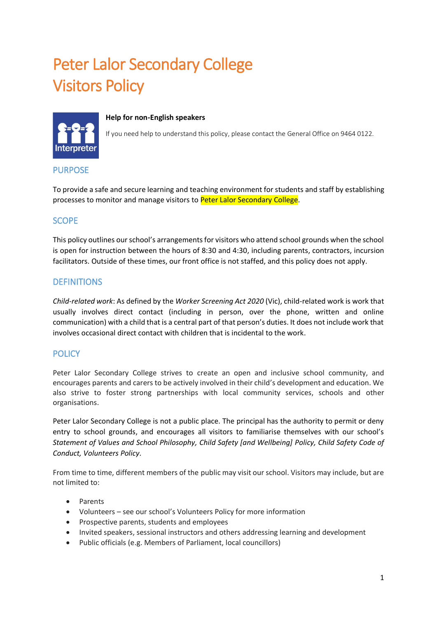# Peter Lalor Secondary College Visitors Policy



#### **Help for non-English speakers**

If you need help to understand this policy, please contact the General Office on 9464 0122.

## PURPOSE

To provide a safe and secure learning and teaching environment for students and staff by establishing processes to monitor and manage visitors to Peter Lalor Secondary College.

# **SCOPE**

This policy outlines our school's arrangements for visitors who attend school grounds when the school is open for instruction between the hours of 8:30 and 4:30, including parents, contractors, incursion facilitators. Outside of these times, our front office is not staffed, and this policy does not apply.

# **DEFINITIONS**

*Child-related work*: As defined by the *Worker Screening Act 2020* (Vic), child-related work is work that usually involves direct contact (including in person, over the phone, written and online communication) with a child that is a central part of that person's duties. It does not include work that involves occasional direct contact with children that is incidental to the work.

# **POLICY**

Peter Lalor Secondary College strives to create an open and inclusive school community, and encourages parents and carers to be actively involved in their child's development and education. We also strive to foster strong partnerships with local community services, schools and other organisations.

Peter Lalor Secondary College is not a public place. The principal has the authority to permit or deny entry to school grounds, and encourages all visitors to familiarise themselves with our school's *Statement of Values and School Philosophy, Child Safety [and Wellbeing] Policy, Child Safety Code of Conduct, Volunteers Policy.* 

From time to time, different members of the public may visit our school. Visitors may include, but are not limited to:

- Parents
- Volunteers see our school's Volunteers Policy for more information
- Prospective parents, students and employees
- Invited speakers, sessional instructors and others addressing learning and development
- Public officials (e.g. Members of Parliament, local councillors)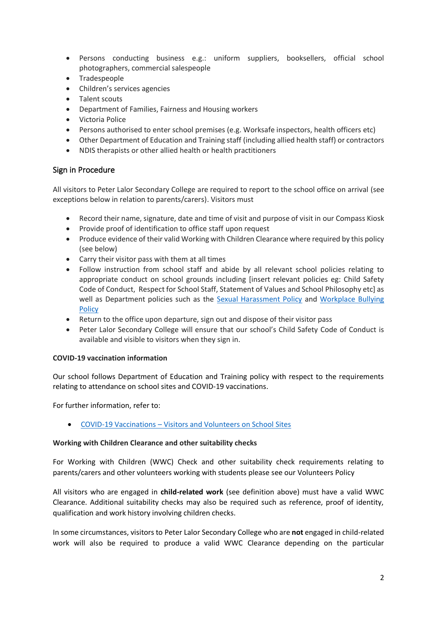- Persons conducting business e.g.: uniform suppliers, booksellers, official school photographers, commercial salespeople
- Tradespeople
- Children's services agencies
- Talent scouts
- Department of Families, Fairness and Housing workers
- Victoria Police
- Persons authorised to enter school premises (e.g. Worksafe inspectors, health officers etc)
- Other Department of Education and Training staff (including allied health staff) or contractors
- NDIS therapists or other allied health or health practitioners

## Sign in Procedure

All visitors to Peter Lalor Secondary College are required to report to the school office on arrival (see exceptions below in relation to parents/carers). Visitors must

- Record their name, signature, date and time of visit and purpose of visit in our Compass Kiosk
- Provide proof of identification to office staff upon request
- Produce evidence of their valid Working with Children Clearance where required by this policy (see below)
- Carry their visitor pass with them at all times
- Follow instruction from school staff and abide by all relevant school policies relating to appropriate conduct on school grounds including [insert relevant policies eg: Child Safety Code of Conduct, Respect for School Staff, Statement of Values and School Philosophy etc] as well as Department policies such as the [Sexual Harassment Policy](https://www2.education.vic.gov.au/pal/sexual-harassment/overview) and Workplace Bullying **[Policy](https://www2.education.vic.gov.au/pal/workplace-bullying/policy)**
- Return to the office upon departure, sign out and dispose of their visitor pass
- Peter Lalor Secondary College will ensure that our school's Child Safety Code of Conduct is available and visible to visitors when they sign in.

#### **COVID-19 vaccination information**

Our school follows Department of Education and Training policy with respect to the requirements relating to attendance on school sites and COVID-19 vaccinations.

For further information, refer to:

• COVID-19 Vaccinations – [Visitors and Volunteers on School Sites](https://www2.education.vic.gov.au/pal/covid-19-vaccinations-visitors-volunteers/policy)

#### **Working with Children Clearance and other suitability checks**

For Working with Children (WWC) Check and other suitability check requirements relating to parents/carers and other volunteers working with students please see our Volunteers Policy

All visitors who are engaged in **child-related work** (see definition above) must have a valid WWC Clearance. Additional suitability checks may also be required such as reference, proof of identity, qualification and work history involving children checks.

In some circumstances, visitors to Peter Lalor Secondary College who are **not** engaged in child-related work will also be required to produce a valid WWC Clearance depending on the particular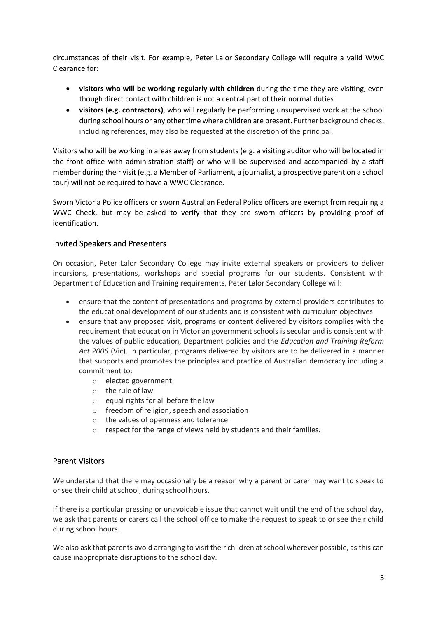circumstances of their visit. For example, Peter Lalor Secondary College will require a valid WWC Clearance for:

- **visitors who will be working regularly with children** during the time they are visiting, even though direct contact with children is not a central part of their normal duties
- **visitors (e.g. contractors)**, who will regularly be performing unsupervised work at the school during school hours or any other time where children are present. Further background checks, including references, may also be requested at the discretion of the principal.

Visitors who will be working in areas away from students (e.g. a visiting auditor who will be located in the front office with administration staff) or who will be supervised and accompanied by a staff member during their visit (e.g. a Member of Parliament, a journalist, a prospective parent on a school tour) will not be required to have a WWC Clearance.

Sworn Victoria Police officers or sworn Australian Federal Police officers are exempt from requiring a WWC Check, but may be asked to verify that they are sworn officers by providing proof of identification.

## Invited Speakers and Presenters

On occasion, Peter Lalor Secondary College may invite external speakers or providers to deliver incursions, presentations, workshops and special programs for our students. Consistent with Department of Education and Training requirements, Peter Lalor Secondary College will:

- ensure that the content of presentations and programs by external providers contributes to the educational development of our students and is consistent with curriculum objectives
- ensure that any proposed visit, programs or content delivered by visitors complies with the requirement that education in Victorian government schools is secular and is consistent with the values of public education, Department policies and the *Education and Training Reform Act 2006* (Vic). In particular, programs delivered by visitors are to be delivered in a manner that supports and promotes the principles and practice of Australian democracy including a commitment to:
	- o elected government
	- o the rule of law
	- o equal rights for all before the law
	- o freedom of religion, speech and association
	- o the values of openness and tolerance
	- o respect for the range of views held by students and their families.

#### Parent Visitors

We understand that there may occasionally be a reason why a parent or carer may want to speak to or see their child at school, during school hours.

If there is a particular pressing or unavoidable issue that cannot wait until the end of the school day, we ask that parents or carers call the school office to make the request to speak to or see their child during school hours.

We also ask that parents avoid arranging to visit their children at school wherever possible, as this can cause inappropriate disruptions to the school day.